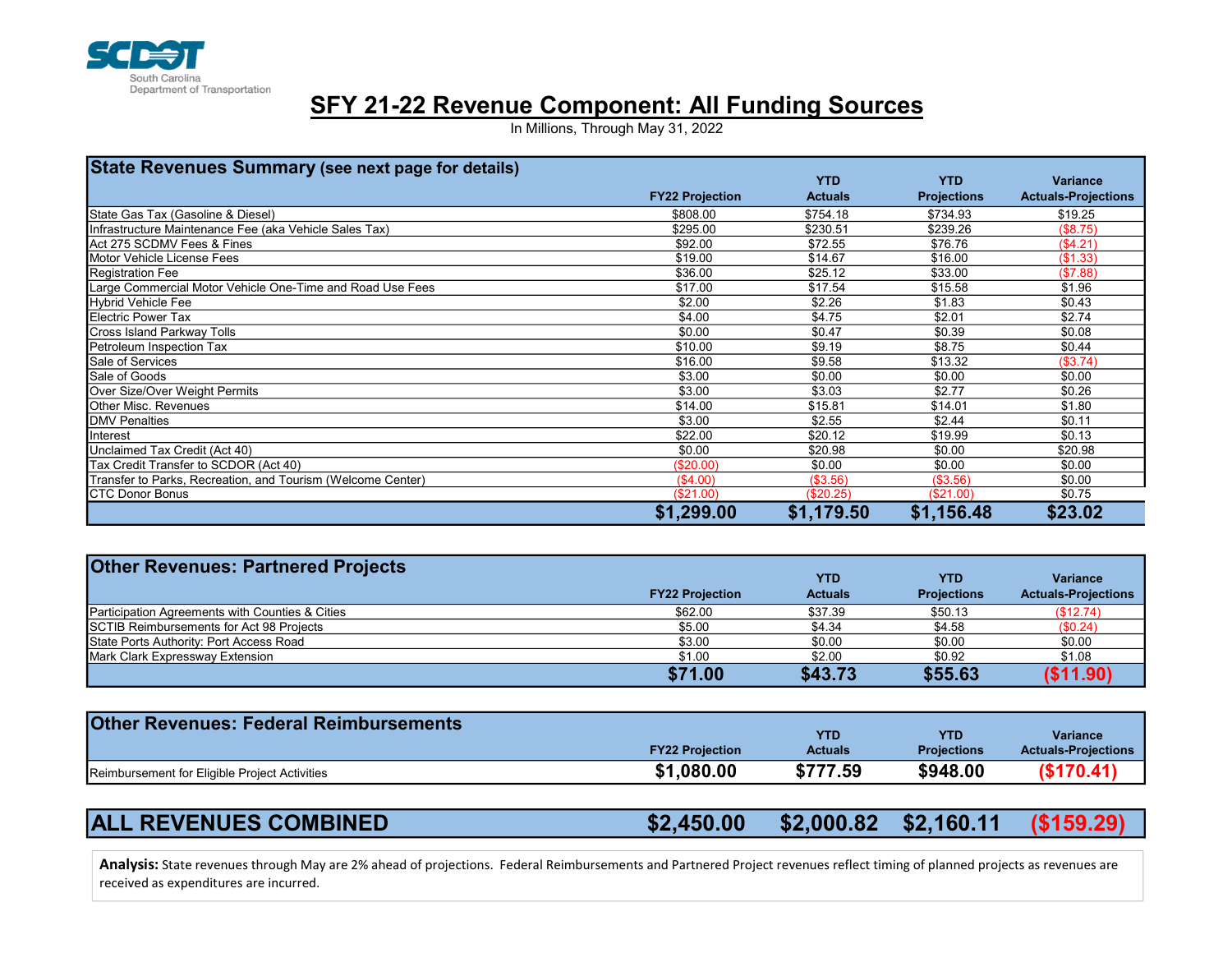

## SFY 21-22 Revenue Component: All Funding Sources

In Millions, Through May 31, 2022

| <b>State Revenues Summary (see next page for details)</b>   |                        |                |                    |                            |
|-------------------------------------------------------------|------------------------|----------------|--------------------|----------------------------|
|                                                             |                        | <b>YTD</b>     | <b>YTD</b>         | <b>Variance</b>            |
|                                                             | <b>FY22 Projection</b> | <b>Actuals</b> | <b>Projections</b> | <b>Actuals-Projections</b> |
| State Gas Tax (Gasoline & Diesel)                           | \$808.00               | \$754.18       | \$734.93           | \$19.25                    |
| Infrastructure Maintenance Fee (aka Vehicle Sales Tax)      | \$295.00               | \$230.51       | \$239.26           | (\$8.75)                   |
| Act 275 SCDMV Fees & Fines                                  | \$92.00                | \$72.55        | \$76.76            | (\$4.21)                   |
| Motor Vehicle License Fees                                  | \$19.00                | \$14.67        | \$16.00            | (\$1.33)                   |
| <b>Registration Fee</b>                                     | \$36.00                | \$25.12        | \$33.00            | (\$7.88)                   |
| Large Commercial Motor Vehicle One-Time and Road Use Fees   | \$17.00                | \$17.54        | \$15.58            | \$1.96                     |
| <b>Hybrid Vehicle Fee</b>                                   | \$2.00                 | \$2.26         | \$1.83             | \$0.43                     |
| <b>Electric Power Tax</b>                                   | \$4.00                 | \$4.75         | \$2.01             | \$2.74                     |
| Cross Island Parkway Tolls                                  | \$0.00                 | \$0.47         | \$0.39             | \$0.08                     |
| Petroleum Inspection Tax                                    | \$10.00                | \$9.19         | \$8.75             | \$0.44                     |
| Sale of Services                                            | \$16.00                | \$9.58         | \$13.32            | (\$3.74)                   |
| Sale of Goods                                               | \$3.00                 | \$0.00         | \$0.00             | \$0.00                     |
| Over Size/Over Weight Permits                               | \$3.00                 | \$3.03         | \$2.77             | \$0.26                     |
| Other Misc. Revenues                                        | \$14.00                | \$15.81        | \$14.01            | \$1.80                     |
| <b>DMV</b> Penalties                                        | \$3.00                 | \$2.55         | \$2.44             | \$0.11                     |
| Interest                                                    | \$22.00                | \$20.12        | \$19.99            | \$0.13                     |
| Unclaimed Tax Credit (Act 40)                               | \$0.00                 | \$20.98        | \$0.00             | \$20.98                    |
| Tax Credit Transfer to SCDOR (Act 40)                       | (\$20.00)              | \$0.00         | \$0.00             | \$0.00                     |
| Transfer to Parks, Recreation, and Tourism (Welcome Center) | (\$4.00)               | (\$3.56)       | (\$3.56)           | \$0.00                     |
| <b>CTC Donor Bonus</b>                                      | (\$21.00)              | (\$20.25)      | (\$21.00)          | \$0.75                     |
|                                                             | \$1,299.00             | \$1,179.50     | \$1,156.48         | \$23.02                    |

| Transfer to Parks, Recreation, and Tourism (Welcome Center)                                                                                                                | (\$4.00)               | (\$3.56)       | (\$3.56)           | \$0.00                     |
|----------------------------------------------------------------------------------------------------------------------------------------------------------------------------|------------------------|----------------|--------------------|----------------------------|
| <b>CTC Donor Bonus</b>                                                                                                                                                     | \$21.00                | (\$20.25)      | (\$21.00)          | \$0.75                     |
|                                                                                                                                                                            | \$1,299.00             | \$1,179.50     | \$1,156.48         | \$23.02                    |
|                                                                                                                                                                            |                        |                |                    |                            |
| <b>Other Revenues: Partnered Projects</b>                                                                                                                                  |                        |                |                    |                            |
|                                                                                                                                                                            |                        | <b>YTD</b>     | <b>YTD</b>         | <b>Variance</b>            |
|                                                                                                                                                                            | <b>FY22 Projection</b> | <b>Actuals</b> | <b>Projections</b> | <b>Actuals-Projections</b> |
| Participation Agreements with Counties & Cities                                                                                                                            | \$62.00                | \$37.39        | \$50.13            | (\$12.74)                  |
| SCTIB Reimbursements for Act 98 Projects                                                                                                                                   | \$5.00                 | \$4.34         | \$4.58             | (S0.24)                    |
| State Ports Authority: Port Access Road                                                                                                                                    | \$3.00                 | \$0.00         | \$0.00             | \$0.00                     |
| Mark Clark Expressway Extension                                                                                                                                            | \$1.00                 | \$2.00         | \$0.92             | \$1.08                     |
|                                                                                                                                                                            | \$71.00                | \$43.73        | \$55.63            | (\$11.90)                  |
|                                                                                                                                                                            |                        |                |                    |                            |
| <b>Other Revenues: Federal Reimbursements</b>                                                                                                                              |                        |                |                    |                            |
|                                                                                                                                                                            |                        | <b>YTD</b>     | <b>YTD</b>         | <b>Variance</b>            |
|                                                                                                                                                                            | <b>FY22 Projection</b> | <b>Actuals</b> | <b>Projections</b> | <b>Actuals-Projections</b> |
|                                                                                                                                                                            | \$1,080.00             | \$777.59       | \$948.00           | (\$170.41)                 |
| Reimbursement for Eligible Project Activities                                                                                                                              |                        |                |                    |                            |
|                                                                                                                                                                            |                        |                |                    |                            |
| <b>ALL REVENUES COMBINED</b>                                                                                                                                               | \$2,450.00             | \$2,000.82     | \$2,160.11         | (\$159.29)                 |
| Analysis: State revenues through May are 2% ahead of projections. Federal Reimbursements and Partnered Project revenues reflect timing of planned projects as revenues are |                        |                |                    |                            |
| received as expenditures are incurred.                                                                                                                                     |                        |                |                    |                            |

| <b>Other Revenues: Federal Reimbursements</b> |                        | <b>YTD</b>     | <b>YTD</b>         | <b>Variance</b>            |
|-----------------------------------------------|------------------------|----------------|--------------------|----------------------------|
|                                               | <b>FY22 Projection</b> | <b>Actuals</b> | <b>Projections</b> | <b>Actuals-Projections</b> |
| Reimbursement for Eligible Project Activities | \$1,080.00             | \$777.59       | \$948.00           | (S170.41)                  |

|  | <b>ALL REVENUES COMBINED</b> | $$2,450.00$ $$2,000.82$ $$2,160.11$ $($159.29)$ |  |  |  |
|--|------------------------------|-------------------------------------------------|--|--|--|
|--|------------------------------|-------------------------------------------------|--|--|--|